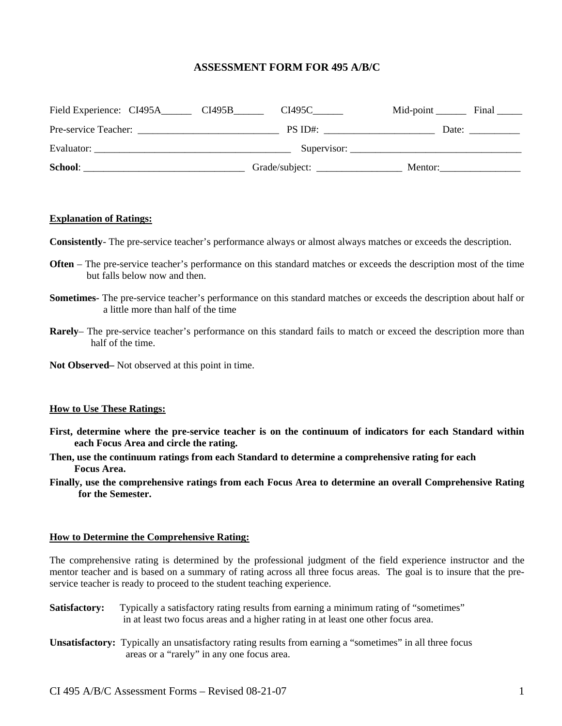### **ASSESSMENT FORM FOR 495 A/B/C**

| Field Experience: CI495A | $CI495C$ <sub>_______</sub><br>CI495B | Mid-point $\overline{\phantom{a}}$<br>Final |
|--------------------------|---------------------------------------|---------------------------------------------|
| Pre-service Teacher:     | PS ID#:                               | Date:                                       |
| Evaluator:               |                                       |                                             |
| School:                  | Grade/subject:                        | Mentor:                                     |

#### **Explanation of Ratings:**

**Consistently**- The pre-service teacher's performance always or almost always matches or exceeds the description.

- **Often** The pre-service teacher's performance on this standard matches or exceeds the description most of the time but falls below now and then.
- **Sometimes** The pre-service teacher's performance on this standard matches or exceeds the description about half or a little more than half of the time
- **Rarely** The pre-service teacher's performance on this standard fails to match or exceed the description more than half of the time.
- **Not Observed–** Not observed at this point in time.

#### **How to Use These Ratings:**

- **First, determine where the pre-service teacher is on the continuum of indicators for each Standard within each Focus Area and circle the rating.**
- **Then, use the continuum ratings from each Standard to determine a comprehensive rating for each Focus Area.**
- **Finally, use the comprehensive ratings from each Focus Area to determine an overall Comprehensive Rating for the Semester.**

#### **How to Determine the Comprehensive Rating:**

The comprehensive rating is determined by the professional judgment of the field experience instructor and the mentor teacher and is based on a summary of rating across all three focus areas. The goal is to insure that the preservice teacher is ready to proceed to the student teaching experience.

- **Satisfactory:** Typically a satisfactory rating results from earning a minimum rating of "sometimes" in at least two focus areas and a higher rating in at least one other focus area.
- **Unsatisfactory:** Typically an unsatisfactory rating results from earning a "sometimes" in all three focus areas or a "rarely" in any one focus area.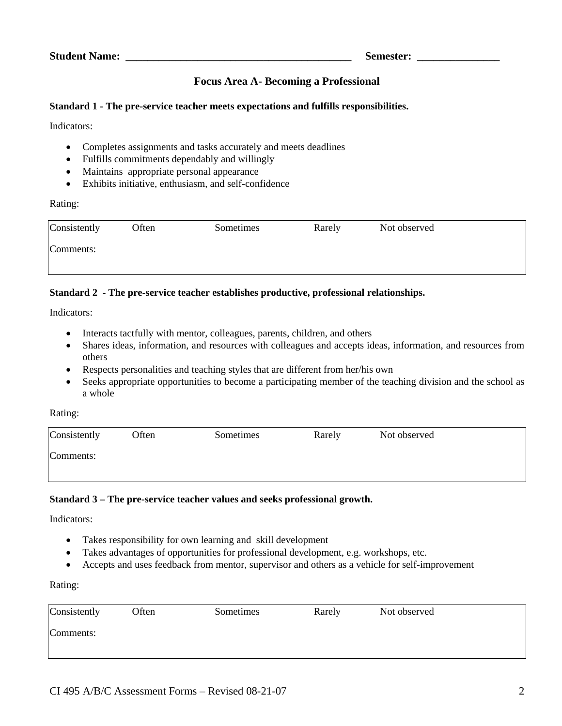# **Focus Area A- Becoming a Professional**

### **Standard 1 - The pre-service teacher meets expectations and fulfills responsibilities.**

Indicators:

- Completes assignments and tasks accurately and meets deadlines
- Fulfills commitments dependably and willingly
- Maintains appropriate personal appearance
- Exhibits initiative, enthusiasm, and self-confidence

### Rating:

| Consistently | Often | Sometimes | Rarely | Not observed |
|--------------|-------|-----------|--------|--------------|
| Comments:    |       |           |        |              |
|              |       |           |        |              |

## **Standard 2 - The pre-service teacher establishes productive, professional relationships.**

Indicators:

- Interacts tactfully with mentor, colleagues, parents, children, and others
- Shares ideas, information, and resources with colleagues and accepts ideas, information, and resources from others
- Respects personalities and teaching styles that are different from her/his own
- Seeks appropriate opportunities to become a participating member of the teaching division and the school as a whole

Rating:

| Consistently | Often | Sometimes | Rarely | Not observed |
|--------------|-------|-----------|--------|--------------|
| Comments:    |       |           |        |              |
|              |       |           |        |              |

### **Standard 3 – The pre-service teacher values and seeks professional growth.**

Indicators:

- Takes responsibility for own learning and skill development
- Takes advantages of opportunities for professional development, e.g. workshops, etc.
- Accepts and uses feedback from mentor, supervisor and others as a vehicle for self-improvement

### Rating:

| Consistently | Often | Sometimes | Rarely | Not observed |
|--------------|-------|-----------|--------|--------------|
| Comments:    |       |           |        |              |
|              |       |           |        |              |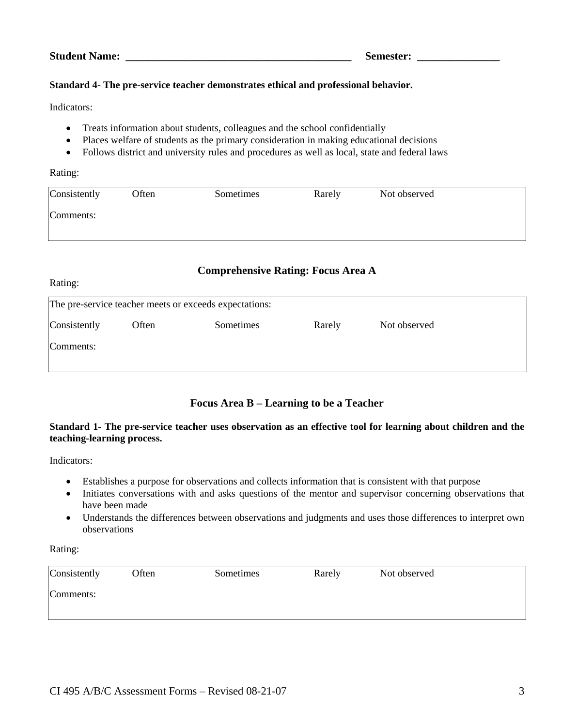### **Standard 4- The pre-service teacher demonstrates ethical and professional behavior.**

Indicators:

- Treats information about students, colleagues and the school confidentially
- Places welfare of students as the primary consideration in making educational decisions
- Follows district and university rules and procedures as well as local, state and federal laws

#### Rating:

Rating:

| Consistently | Often | Sometimes | Rarely | Not observed |
|--------------|-------|-----------|--------|--------------|
| Comments:    |       |           |        |              |
|              |       |           |        |              |

# **Comprehensive Rating: Focus Area A**

| The pre-service teacher meets or exceeds expectations: |       |           |        |              |  |  |
|--------------------------------------------------------|-------|-----------|--------|--------------|--|--|
| Consistently                                           | Often | Sometimes | Rarely | Not observed |  |  |
| Comments:                                              |       |           |        |              |  |  |
|                                                        |       |           |        |              |  |  |

# **Focus Area B – Learning to be a Teacher**

### **Standard 1- The pre-service teacher uses observation as an effective tool for learning about children and the teaching-learning process.**

Indicators:

- Establishes a purpose for observations and collects information that is consistent with that purpose
- Initiates conversations with and asks questions of the mentor and supervisor concerning observations that have been made
- Understands the differences between observations and judgments and uses those differences to interpret own observations

Rating:

| Consistently | Often | Sometimes | Rarely | Not observed |
|--------------|-------|-----------|--------|--------------|
| Comments:    |       |           |        |              |
|              |       |           |        |              |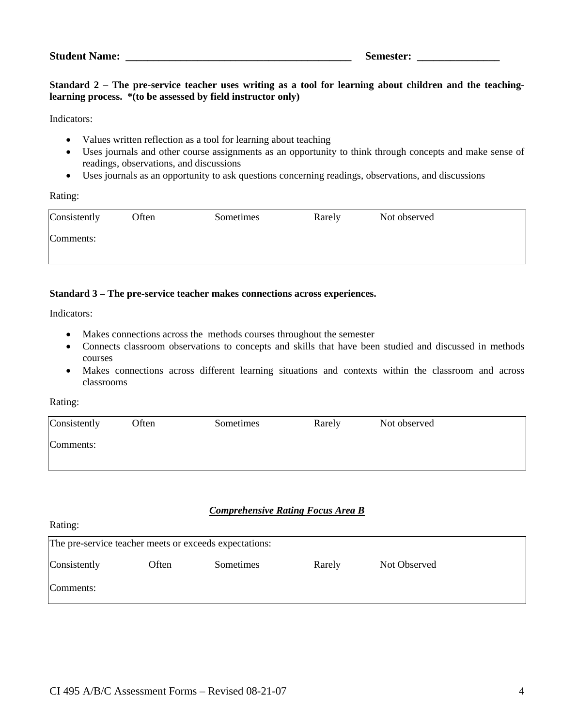#### **Standard 2 – The pre-service teacher uses writing as a tool for learning about children and the teachinglearning process. \*(to be assessed by field instructor only)**

Indicators:

- Values written reflection as a tool for learning about teaching
- Uses journals and other course assignments as an opportunity to think through concepts and make sense of readings, observations, and discussions
- Uses journals as an opportunity to ask questions concerning readings, observations, and discussions

Rating:

| Consistently | Often | Sometimes | Rarely | Not observed |
|--------------|-------|-----------|--------|--------------|
| Comments:    |       |           |        |              |
|              |       |           |        |              |

#### **Standard 3 – The pre-service teacher makes connections across experiences.**

Indicators:

- Makes connections across the methods courses throughout the semester
- Connects classroom observations to concepts and skills that have been studied and discussed in methods courses
- Makes connections across different learning situations and contexts within the classroom and across classrooms

Rating:

Rating:

| Consistently | Often | Sometimes | Rarely | Not observed |
|--------------|-------|-----------|--------|--------------|
| Comments:    |       |           |        |              |
|              |       |           |        |              |

# *Comprehensive Rating Focus Area B*

| raams.                                                 |       |           |        |              |  |  |
|--------------------------------------------------------|-------|-----------|--------|--------------|--|--|
| The pre-service teacher meets or exceeds expectations: |       |           |        |              |  |  |
| Consistently                                           | Often | Sometimes | Rarely | Not Observed |  |  |
| Comments:                                              |       |           |        |              |  |  |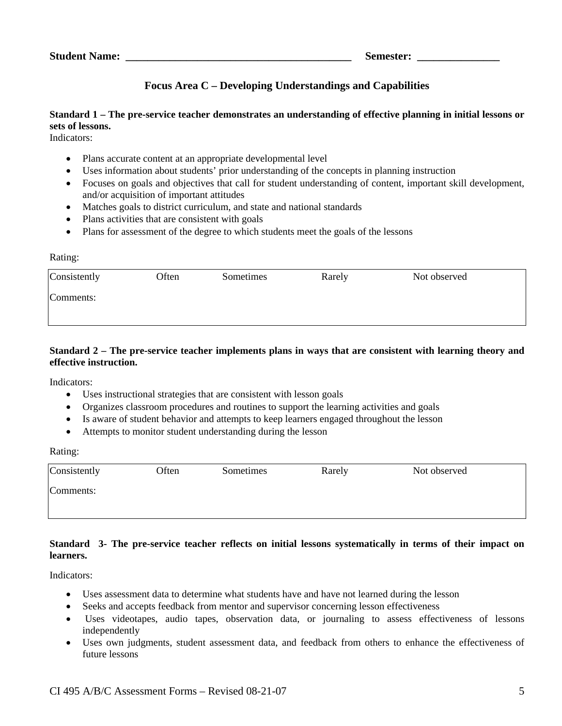# **Focus Area C – Developing Understandings and Capabilities**

# **Standard 1 – The pre-service teacher demonstrates an understanding of effective planning in initial lessons or sets of lessons.**

Indicators:

- Plans accurate content at an appropriate developmental level
- Uses information about students' prior understanding of the concepts in planning instruction
- Focuses on goals and objectives that call for student understanding of content, important skill development, and/or acquisition of important attitudes
- Matches goals to district curriculum, and state and national standards
- Plans activities that are consistent with goals
- Plans for assessment of the degree to which students meet the goals of the lessons

#### Rating:

| Consistently | Often | Sometimes | Rarely | Not observed |  |
|--------------|-------|-----------|--------|--------------|--|
| Comments:    |       |           |        |              |  |
|              |       |           |        |              |  |

### **Standard 2 – The pre-service teacher implements plans in ways that are consistent with learning theory and effective instruction.**

Indicators:

- Uses instructional strategies that are consistent with lesson goals
- Organizes classroom procedures and routines to support the learning activities and goals
- Is aware of student behavior and attempts to keep learners engaged throughout the lesson
- Attempts to monitor student understanding during the lesson

Rating:

| Consistently | Often | Sometimes | Rarely | Not observed |
|--------------|-------|-----------|--------|--------------|
| Comments:    |       |           |        |              |
|              |       |           |        |              |

### **Standard 3- The pre-service teacher reflects on initial lessons systematically in terms of their impact on learners.**

Indicators:

- Uses assessment data to determine what students have and have not learned during the lesson
- Seeks and accepts feedback from mentor and supervisor concerning lesson effectiveness
- Uses videotapes, audio tapes, observation data, or journaling to assess effectiveness of lessons independently
- Uses own judgments, student assessment data, and feedback from others to enhance the effectiveness of future lessons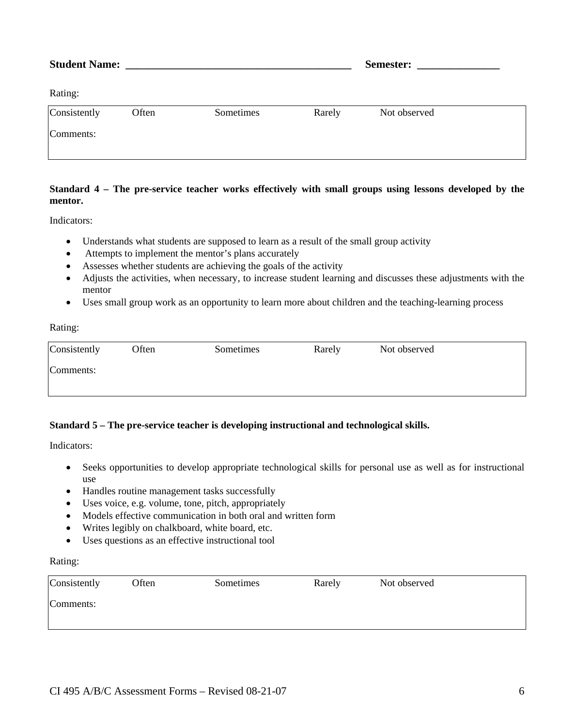|              |       |           |        | <b>Semester:</b> ________________ |  |
|--------------|-------|-----------|--------|-----------------------------------|--|
| Rating:      |       |           |        |                                   |  |
| Consistently | Often | Sometimes | Rarely | Not observed                      |  |
| Comments:    |       |           |        |                                   |  |

## **Standard 4 – The pre-service teacher works effectively with small groups using lessons developed by the mentor.**

Indicators:

- Understands what students are supposed to learn as a result of the small group activity
- Attempts to implement the mentor's plans accurately
- Assesses whether students are achieving the goals of the activity
- Adjusts the activities, when necessary, to increase student learning and discusses these adjustments with the mentor
- Uses small group work as an opportunity to learn more about children and the teaching-learning process

Rating:

| Consistently | Often | Sometimes | Rarely | Not observed |
|--------------|-------|-----------|--------|--------------|
| Comments:    |       |           |        |              |
|              |       |           |        |              |

### **Standard 5 – The pre-service teacher is developing instructional and technological skills.**

Indicators:

- Seeks opportunities to develop appropriate technological skills for personal use as well as for instructional use
- Handles routine management tasks successfully
- Uses voice, e.g. volume, tone, pitch, appropriately
- Models effective communication in both oral and written form
- Writes legibly on chalkboard, white board, etc.
- Uses questions as an effective instructional tool

#### Rating:

| Consistently | Often | Sometimes | Rarely | Not observed |
|--------------|-------|-----------|--------|--------------|
| Comments:    |       |           |        |              |
|              |       |           |        |              |